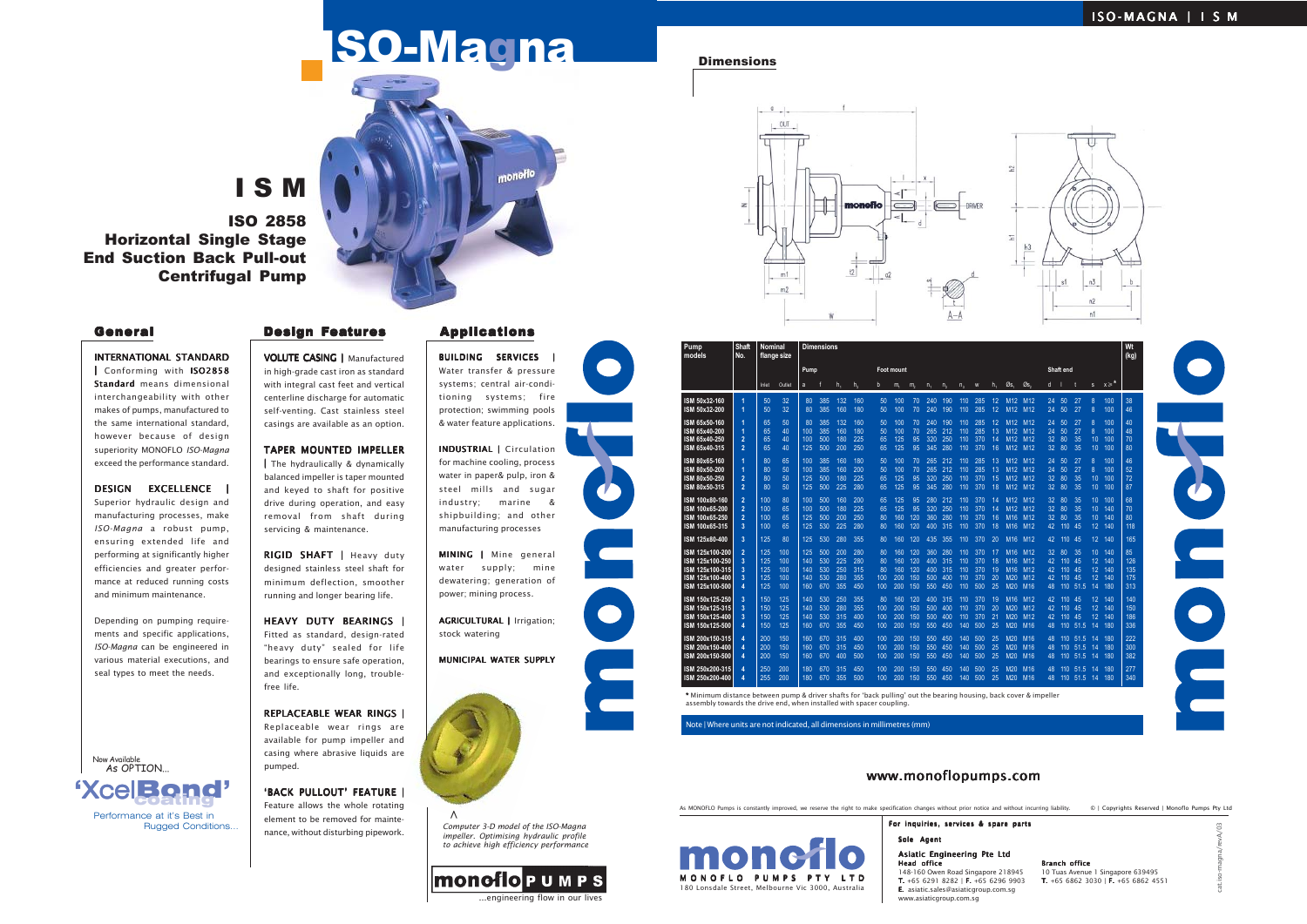cat.iso-magna/revA/03

# ISO-Magna Dimensions

# I S M

ISO 2858 Horizontal Single Stage End Suction Back Pull-out Centrifugal Pump

#### INTERNATIONAL STANDARD

| Conforming with ISO2858 Standard means dimensional interchangeability with other makes of pumps, manufactured to the same international standard, however because of design superiority MONOFLO *ISO-Magna* exceed the performance standard.

DESIGN EXCELLENCE | Superior hydraulic design and manufacturing processes, make *ISO-Magna* a robust pump, ensuring extended life and performing at significantly higher efficiencies and greater performance at reduced running costs and minimum maintenance.

RIGID SHAFT | Heavy duty designed stainless steel shaft for minimum deflection, smoother running and longer bearing life.

Depending on pumping requirements and specific applications, *ISO-Magna* can be engineered in various material executions, and seal types to meet the needs.

HEAVY DUTY BEARINGS | Fitted as standard, design-rated "heavy duty" sealed for life bearings to ensure safe operation, and exceptionally long, troublefree life.

REPLACEABLE WEAR RINGS | Replaceable wear rings are available for pump impeller and casing where abrasive liquids are pumped.

VOLUTE CASING | Manufactured in high-grade cast iron as standard with integral cast feet and vertical centerline discharge for automatic self-venting. Cast stainless steel casings are available as an option.

'BACK PULLOUT' FEATURE I Feature allows the whole rotating element to be removed for maintenance, without disturbing pipework.

BUILDING SERVICES Water transfer & pressure systems; central air-conditioning systems; fire protection; swimming pools & water feature applications.

#### TAPER MOUNTED IMPELLER

| The hydraulically & dynamically balanced impeller is taper mounted and keyed to shaft for positive drive during operation, and easy removal from shaft during servicing & maintenance.

> MINING | Mine general water supply; mine dewatering; generation of power; mining process.

> INDUSTRIAL | Circulation | for machine cooling, process water in paper& pulp, iron & steel mills and sugar industry; marine & shipbuilding; and other manufacturing processes

AGRICULTURAL | Irrigation; stock watering

# MUNICIPAL WATER SUPPLY





| Pump<br>models                                                                              | Shaft<br>No.                                            | <b>Nominal</b>                  | flange size                     | <b>Dimensions</b>               |                                 |                                 |                                 |                              |                                 |                                 |                                 |                                 |                                 | Wt<br>(kg)                      |                            |                                                                          |                                                                                 |                            |                                     |                          |                                         |                                 |                                |
|---------------------------------------------------------------------------------------------|---------------------------------------------------------|---------------------------------|---------------------------------|---------------------------------|---------------------------------|---------------------------------|---------------------------------|------------------------------|---------------------------------|---------------------------------|---------------------------------|---------------------------------|---------------------------------|---------------------------------|----------------------------|--------------------------------------------------------------------------|---------------------------------------------------------------------------------|----------------------------|-------------------------------------|--------------------------|-----------------------------------------|---------------------------------|--------------------------------|
|                                                                                             |                                                         |                                 |                                 | Pump                            |                                 |                                 |                                 |                              | <b>Foot mount</b>               |                                 |                                 |                                 |                                 |                                 |                            |                                                                          | Shaft end                                                                       |                            |                                     |                          |                                         |                                 |                                |
|                                                                                             |                                                         | Inlet                           | Outlet                          | a                               |                                 | h,                              | h <sub>2</sub>                  | b                            | m,                              | m,                              | $n_{\scriptscriptstyle 4}$      | n <sub>2</sub>                  | $n_{\lambda}$                   | W                               | $h_{1}$                    | Øs.                                                                      | Øs.                                                                             | d                          |                                     |                          | $\mathbf{s}$                            | $x \geqslant^*$                 |                                |
| ISM 50x32-160<br>ISM 50x32-200                                                              | 1<br>1                                                  | 50<br>50                        | 32<br>32                        | 80<br>80                        | 385<br>385                      | 132<br>160                      | 160<br>180                      | 50<br>50                     | 100<br>100                      | 70<br>70                        | 240<br>240                      | 190<br>190                      | 110<br>110                      | 285<br>285                      | 12<br>12                   | M <sub>12</sub><br>M <sub>12</sub>                                       | M <sub>12</sub><br>M <sub>12</sub>                                              | 24<br>24                   | 50<br>50                            | 27<br>27                 | 8<br>8                                  | 100<br>100                      | 38<br>46                       |
| ISM 65x50-160<br>ISM 65x40-200<br>ISM 65x40-250<br>ISM 65x40-315                            | 1<br>1<br>$\overline{2}$<br>$\overline{2}$              | 65<br>65<br>65<br>65            | 50<br>40<br>40<br>40            | 80<br>100<br>100<br>125         | 385<br>385<br>500<br>500        | 132<br>160<br>180<br>200        | 160<br>180<br>225<br>250        | 50<br>50<br>65<br>65         | 100<br>100<br>125<br>125        | 70<br>70<br>95<br>95            | 240<br>265<br>320<br>345        | 190<br>212<br>250<br>280        | 110<br>110<br>110<br>110        | 285<br>285<br>370<br>370        | 12<br>13<br>14<br>16       | M <sub>12</sub><br>M12<br>M <sub>12</sub><br>M <sub>12</sub>             | M <sub>12</sub><br>M <sub>12</sub><br>M <sub>12</sub><br>M <sub>12</sub>        | 24<br>24<br>32<br>32       | 50<br>50<br>80<br>80                | 27<br>27<br>35<br>35     | 8<br>8<br>10<br>10                      | 100<br>100<br>100<br>100        | 40<br>48<br>70<br>80           |
| ISM 80x65-160<br>ISM 80x50-200<br>ISM 80x50-250<br>ISM 80x50-315                            | 1<br>1<br>$\overline{2}$<br>$\overline{2}$              | 80<br>80<br>80<br>80            | 65<br>50<br>50<br>50            | 100<br>100<br>125<br>125        | 385<br>385<br>500<br>500        | 160<br>160<br>180<br>225        | 180<br>200<br>225<br>280        | 50<br>50<br>65<br>65         | 100<br>100<br>125<br>125        | 70<br>70<br>95<br>95            | 265<br>265<br>320<br>345        | 212<br>212<br>250<br>280        | 110<br>110<br>110<br>110        | 285<br>285<br>370<br>370        | 13<br>13<br>15<br>18       | M <sub>12</sub><br>M <sub>12</sub><br>M <sub>12</sub><br>M <sub>12</sub> | M <sub>12</sub><br>M <sub>12</sub><br>M <sub>12</sub><br>M <sub>12</sub>        | 24<br>24<br>32<br>32       | 50<br>50<br>80<br>80                | 27<br>27<br>35<br>35     | 8<br>8<br>10<br>10                      | 100<br>100<br>100<br>100        | 46<br>52<br>72<br>87           |
| ISM 100x80-160<br>ISM 100x65-200<br>ISM 100x65-250<br>ISM 100x65-315                        | $\overline{2}$<br>$\overline{a}$<br>$\overline{2}$<br>3 | 100<br>100<br>100<br>100        | 80<br>65<br>65<br>65            | 100<br>100<br>125<br>125        | 500<br>500<br>500<br>530        | 160<br>180<br>200<br>225        | 200<br>225<br>250<br>280        | 65<br>65<br>80<br>80         | 125<br>125<br>160<br>160        | 95<br>95<br>120<br>120          | 280<br>320<br>360<br>400        | 212<br>250<br>280<br>315        | 110<br>110<br>110<br>110        | 370<br>370<br>370<br>370        | 14<br>14<br>16<br>18       | M <sub>12</sub><br>M <sub>12</sub><br>M <sub>16</sub><br>M <sub>16</sub> | M <sub>12</sub><br>M <sub>12</sub><br>M <sub>12</sub><br>M <sub>12</sub>        | 32<br>32<br>32<br>42       | 80<br>80<br>80<br>110 45            | 35<br>35<br>35           | 10<br>10<br>10<br>12                    | 100<br>140<br>140<br>140        | 68<br>70<br>80<br>118          |
| ISM 125x80-400                                                                              | 3                                                       | 125                             | 80                              | 125                             | 530                             | 280                             | 355                             | 80                           | 160                             | 120                             | 435                             | 355                             | 110                             | 370                             | 20                         | M <sub>16</sub>                                                          | M <sub>12</sub>                                                                 | 42                         | 110 <sup>°</sup>                    | - 45                     | 12                                      | 140                             | 165                            |
| ISM 125x100-200<br>ISM 125x100-250<br>ISM 125x100-315<br>ISM 125x100-400<br>ISM 125x100-500 | $\overline{2}$<br>3<br>3<br>3<br>4                      | 125<br>125<br>125<br>125<br>125 | 100<br>100<br>100<br>100<br>100 | 125<br>140<br>140<br>140<br>160 | 500<br>530<br>530<br>530<br>670 | 200<br>225<br>250<br>280<br>355 | 280<br>280<br>315<br>355<br>450 | 80<br>80<br>80<br>100<br>100 | 160<br>160<br>160<br>200<br>200 | 120<br>120<br>120<br>150<br>150 | 360<br>400<br>400<br>500<br>550 | 280<br>315<br>315<br>400<br>450 | 110<br>110<br>110<br>110<br>110 | 370<br>370<br>370<br>370<br>500 | 17<br>18<br>19<br>20<br>25 | M <sub>16</sub><br>M <sub>16</sub><br>M <sub>16</sub><br>M20<br>M20      | M <sub>12</sub><br>M12<br>M <sub>12</sub><br>M <sub>12</sub><br>M <sub>16</sub> | 32<br>42<br>42<br>42<br>48 | 80<br>110 45<br>110 45<br>110       | 35<br>45<br>110 51.5     | 10 <sup>°</sup><br>12<br>12<br>12<br>14 | 140<br>140<br>140<br>140<br>180 | 85<br>126<br>135<br>175<br>313 |
| ISM 150x125-250<br>ISM 150x125-315<br>ISM 150x125-400<br>ISM 150x125-500                    | 3<br>3<br>3<br>Δ                                        | 150<br>150<br>150<br>150        | 125<br>125<br>125<br>125        | 140<br>140<br>140<br>160        | 530<br>530<br>530<br>670        | 250<br>280<br>315<br>355        | 355<br>355<br>400<br>450        | 80<br>100<br>100<br>100      | 160<br>200<br>200<br>200        | 120<br>150<br>150<br>150        | 400<br>500<br>500<br>550        | 315<br>400<br>400<br>450        | 110<br>110<br>110<br>140        | 370<br>370<br>370<br>500        | 19<br>20<br>21<br>25       | M <sub>16</sub><br>M20<br>M20<br>M20                                     | M <sub>12</sub><br>M <sub>12</sub><br>M <sub>12</sub><br>M <sub>16</sub>        | 42<br>42<br>42<br>48       | $110^{\circ}$<br>110 45<br>$110$ 45 | -45<br>110 51.5          | 12<br>12<br>12<br>14                    | 140<br>140<br>140<br>180        | 140<br>150<br>186<br>336       |
| ISM 200x150-315<br>ISM 200x150-400<br>ISM 200x150-500                                       | 4<br>4<br>4                                             | 200<br>200<br>200               | 150<br>150<br>150               | 160<br>160<br>160               | 670<br>670<br>670               | 315<br>315<br>400               | 400<br>450<br>500               | 100<br>100<br>100            | 200<br>200<br>200               | 150<br>150<br>150               | 550<br>550<br>550               | 450<br>450<br>450               | 140<br>140<br>140               | 500<br>500<br>500               | 25<br>25<br>25             | M20<br>M20<br>M20                                                        | M <sub>16</sub><br>M <sub>16</sub><br>M <sub>16</sub>                           | 48<br>48<br>48             | 110<br>110                          | 51.5<br>51.5<br>110 51.5 | 14<br>14<br>14                          | 180<br>180<br>180               | 222<br>300<br>382              |
| ISM 250x200-315<br>ISM 250x200-400                                                          | 4<br>4                                                  | 250<br>255                      | 200<br>200                      | 180<br>180                      | 670<br>670                      | 315<br>355                      | 450<br>500                      | 100<br>100                   | 200<br>200                      | 150<br>150                      | 550<br>550                      | 450<br>450                      | 140<br>140                      | 500<br>500                      | 25<br>25                   | M20<br>M20                                                               | M <sub>16</sub><br>M16                                                          | 48<br>48                   |                                     | 110 51.5<br>110 51.5     | 14<br>-14                               | 180<br>180                      | 277<br>340                     |

\* Minimum distance between pump & driver shafts for 'back pulling' out the bearing housing, back cover & impeller \* assembly towards the drive end, when installed with spacer coupling.

Note | Where units are not indicated, all dimensions in millimetres (mm)



# General **Design Features** Applications

*Computer 3-D model of the ISO-Magna impeller. Optimising hydraulic profile to achieve high efficiency performance* **>**

monofiop um p s

engineering flow in our lives



As MONOFLO Pumps is constantly improved, we reserve the right to make specification changes without prior notice and without incurring liability. © | Copyrights Reserved | Monoflo Pumps Pty Ltd

> Sole Agent Asiatic Engineering Pte Ltd Head office **Branch office** 148-160 Owen Road Singapore 218945 10 Tuas Avenue 1 Singapore 639495<br>**T.** +65 6291 8282 | **F.** +65 6296 9903 **T.** +65 6862 3030 | **F.** +65 6862 4551 T. +65 6291 8282 | **F.** +65 6296 9903 E. asiatic.sales@asiaticgroup.com.sg www.asiaticgroup.com.sg

For inquiries, services & spare parts



# www.monoflopumps.com